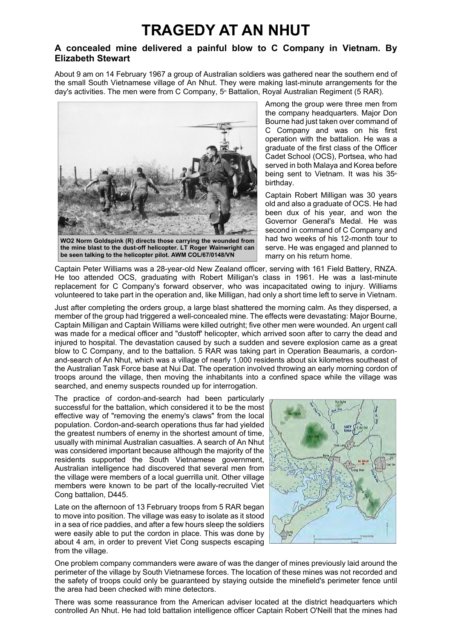## **TRAGEDY AT AN NHUT**

## **A concealed mine delivered a painful blow to C Company in Vietnam. By Elizabeth Stewart**

About 9 am on 14 February 1967 a group of Australian soldiers was gathered near the southern end of the small South Vietnamese village of An Nhut. They were making last-minute arrangements for the day's activities. The men were from C Company,  $5<sup>m</sup>$  Battalion, Royal Australian Regiment (5 RAR).



**WO2 Norm Goldspink (R) directs those carrying the wounded from the mine blast to the dust-off helicopter. LT Roger Wainwright can be seen talking to the helicopter pilot. AWM COL/67/0148/VN** 

Among the group were three men from the company headquarters. Major Don Bourne had just taken over command of C Company and was on his first operation with the battalion. He was a graduate of the first class of the Officer Cadet School (OCS), Portsea, who had served in both Malaya and Korea before being sent to Vietnam. It was his 35th birthday.

Captain Robert Milligan was 30 years old and also a graduate of OCS. He had been dux of his year, and won the Governor General's Medal. He was second in command of C Company and had two weeks of his 12-month tour to serve. He was engaged and planned to marry on his return home.

Captain Peter Williams was a 28-year-old New Zealand officer, serving with 161 Field Battery, RNZA. He too attended OCS, graduating with Robert Milligan's class in 1961. He was a last-minute replacement for C Company's forward observer, who was incapacitated owing to injury. Williams volunteered to take part in the operation and, like Milligan, had only a short time left to serve in Vietnam.

Just after completing the orders group, a large blast shattered the morning calm. As they dispersed, a member of the group had triggered a well-concealed mine. The effects were devastating: Major Bourne, Captain Milligan and Captain Williams were killed outright; five other men were wounded. An urgent call was made for a medical officer and "dustoff' helicopter, which arrived soon after to carry the dead and injured to hospital. The devastation caused by such a sudden and severe explosion came as a great blow to C Company, and to the battalion. 5 RAR was taking part in Operation Beaumaris, a cordonand-search of An Nhut, which was a village of nearly 1,000 residents about six kilometres southeast of the Australian Task Force base at Nui Dat. The operation involved throwing an early morning cordon of troops around the village, then moving the inhabitants into a confined space while the village was searched, and enemy suspects rounded up for interrogation.

The practice of cordon-and-search had been particularly successful for the battalion, which considered it to be the most effective way of "removing the enemy's claws" from the local population. Cordon-and-search operations thus far had yielded the greatest numbers of enemy in the shortest amount of time, usually with minimal Australian casualties. A search of An Nhut was considered important because although the majority of the residents supported the South Vietnamese government, Australian intelligence had discovered that several men from the village were members of a local guerrilla unit. Other village members were known to be part of the locally-recruited Viet Cong battalion, D445.

Late on the afternoon of 13 February troops from 5 RAR began to move into position. The village was easy to isolate as it stood in a sea of rice paddies, and after a few hours sleep the soldiers were easily able to put the cordon in place. This was done by about 4 am, in order to prevent Viet Cong suspects escaping from the village.



One problem company commanders were aware of was the danger of mines previously laid around the perimeter of the village by South Vietnamese forces. The location of these mines was not recorded and the safety of troops could only be guaranteed by staying outside the minefield's perimeter fence until the area had been checked with mine detectors.

There was some reassurance from the American adviser located at the district headquarters which controlled An Nhut. He had told battalion intelligence officer Captain Robert O'Neill that the mines had